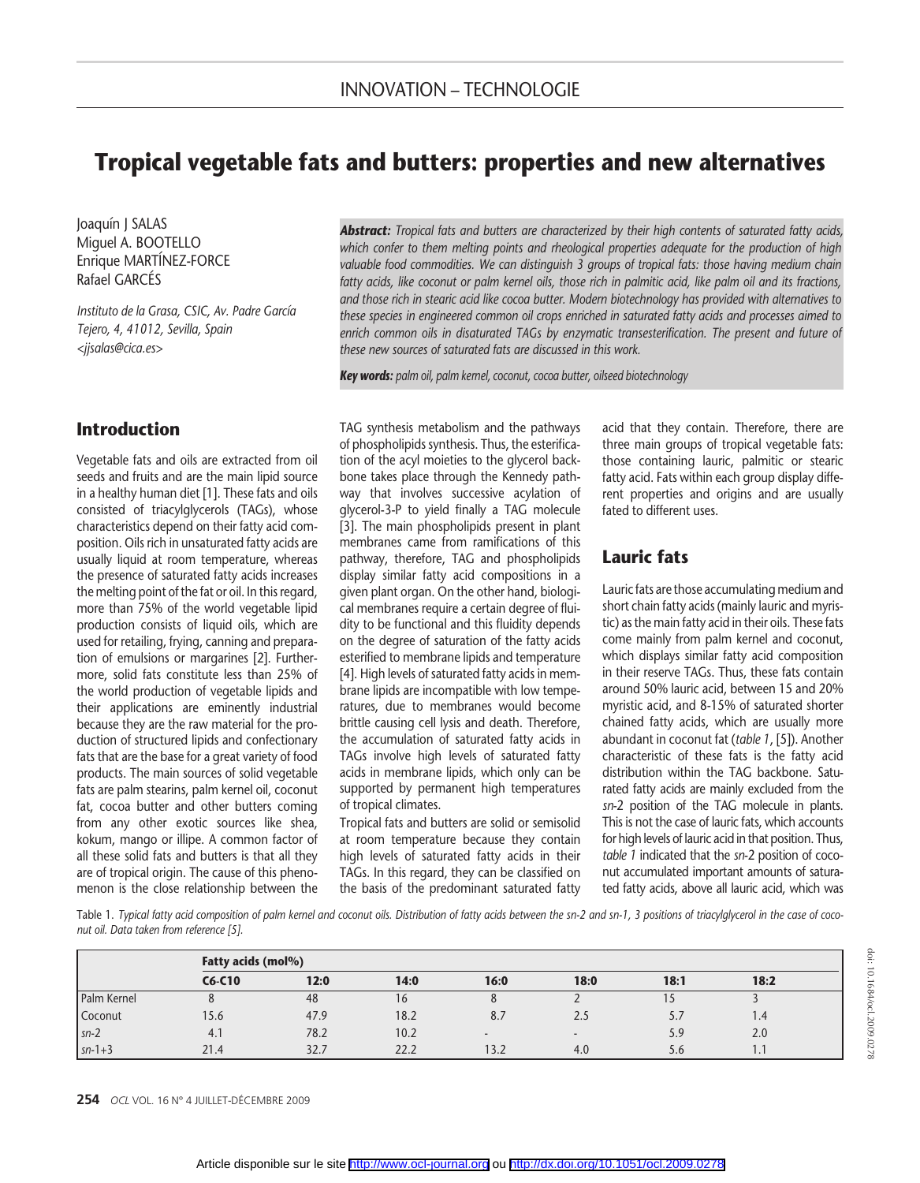# Tropical vegetable fats and butters: properties and new alternatives

Joaquín J SALAS Miguel A. BOOTELLO Enrique MARTÍNEZ-FORCE Rafael GARCÉS

Instituto de la Grasa, CSIC, Av. Padre García Tejero, 4, 41012, Sevilla, Spain <jjsalas@cica.es>

## Introduction

Vegetable fats and oils are extracted from oil seeds and fruits and are the main lipid source in a healthy human diet [1]. These fats and oils consisted of triacylglycerols (TAGs), whose characteristics depend on their fatty acid composition. Oils rich in unsaturated fatty acids are usually liquid at room temperature, whereas the presence of saturated fatty acids increases the melting point of the fat or oil. In this regard, more than 75% of the world vegetable lipid production consists of liquid oils, which are used for retailing, frying, canning and preparation of emulsions or margarines [2]. Furthermore, solid fats constitute less than 25% of the world production of vegetable lipids and their applications are eminently industrial because they are the raw material for the production of structured lipids and confectionary fats that are the base for a great variety of food products. The main sources of solid vegetable fats are palm stearins, palm kernel oil, coconut fat, cocoa butter and other butters coming from any other exotic sources like shea, kokum, mango or illipe. A common factor of all these solid fats and butters is that all they are of tropical origin. The cause of this phenomenon is the close relationship between the

Abstract: Tropical fats and butters are characterized by their high contents of saturated fatty acids, which confer to them melting points and rheological properties adequate for the production of high valuable food commodities. We can distinguish 3 groups of tropical fats: those having medium chain fatty acids, like coconut or palm kernel oils, those rich in palmitic acid, like palm oil and its fractions, and those rich in stearic acid like cocoa butter. Modern biotechnology has provided with alternatives to these species in engineered common oil crops enriched in saturated fatty acids and processes aimed to enrich common oils in disaturated TAGs by enzymatic transesterification. The present and future of these new sources of saturated fats are discussed in this work.

Key words: palm oil, palm kernel, coconut, cocoa butter, oilseed biotechnology

TAG synthesis metabolism and the pathways of phospholipids synthesis. Thus, the esterification of the acyl moieties to the glycerol backbone takes place through the Kennedy pathway that involves successive acylation of glycerol-3-P to yield finally a TAG molecule [3]. The main phospholipids present in plant membranes came from ramifications of this pathway, therefore, TAG and phospholipids display similar fatty acid compositions in a given plant organ. On the other hand, biological membranes require a certain degree of fluidity to be functional and this fluidity depends on the degree of saturation of the fatty acids esterified to membrane lipids and temperature [4]. High levels of saturated fatty acids in membrane lipids are incompatible with low temperatures, due to membranes would become brittle causing cell lysis and death. Therefore, the accumulation of saturated fatty acids in TAGs involve high levels of saturated fatty acids in membrane lipids, which only can be supported by permanent high temperatures of tropical climates.

Tropical fats and butters are solid or semisolid at room temperature because they contain high levels of saturated fatty acids in their TAGs. In this regard, they can be classified on the basis of the predominant saturated fatty acid that they contain. Therefore, there are three main groups of tropical vegetable fats: those containing lauric, palmitic or stearic fatty acid. Fats within each group display different properties and origins and are usually fated to different uses.

## Lauric fats

Lauric fats are those accumulating medium and short chain fatty acids (mainly lauric and myristic) as the main fatty acid in their oils. These fats come mainly from palm kernel and coconut, which displays similar fatty acid composition in their reserve TAGs. Thus, these fats contain around 50% lauric acid, between 15 and 20% myristic acid, and 8-15% of saturated shorter chained fatty acids, which are usually more abundant in coconut fat (table 1, [5]). Another characteristic of these fats is the fatty acid distribution within the TAG backbone. Saturated fatty acids are mainly excluded from the sn-2 position of the TAG molecule in plants. This is not the case of lauric fats, which accounts for high levels of lauric acid in that position. Thus, table 1 indicated that the sn-2 position of coconut accumulated important amounts of saturated fatty acids, above all lauric acid, which was

Table 1. Typical fatty acid composition of palm kernel and coconut oils. Distribution of fatty acids between the sn-2 and sn-1, 3 positions of triacylglycerol in the case of coconut oil. Data taken from reference [5].

|             | Fatty acids (mol%) |      |      |        |        |      |                  |  |  |
|-------------|--------------------|------|------|--------|--------|------|------------------|--|--|
|             | $C6-C10$           | 12:0 | 14:0 | 16:0   | 18:0   | 18:1 | 18:2             |  |  |
| Palm Kernel |                    | 48   | 16   |        |        |      |                  |  |  |
| Coconut     | 15.6               | 47.9 | 18.2 | 8.7    | 2.5    | 5.,  | 1.4              |  |  |
| $sn-2$      | 4.1                | 78.2 | 10.2 | $\sim$ | $\sim$ | 5.9  | 2.0              |  |  |
| $sn-1+3$    | 21.4               | 32.7 | 22.2 | 13.2   | 4.0    | 5.6  | $\mathbf{I}$ . I |  |  |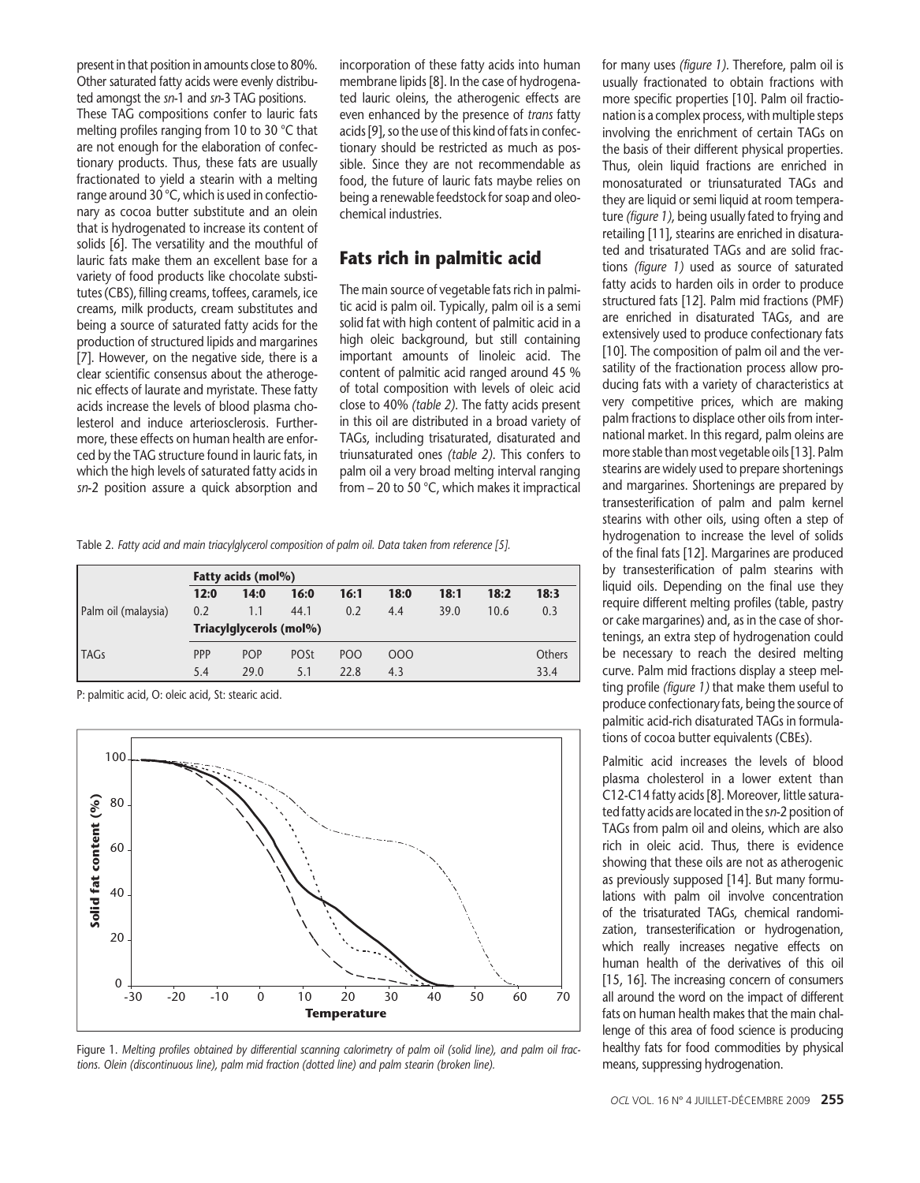present in that position in amounts close to 80%. Other saturated fatty acids were evenly distributed amongst the sn-1 and sn-3 TAG positions.

These TAG compositions confer to lauric fats melting profiles ranging from 10 to 30 °C that are not enough for the elaboration of confectionary products. Thus, these fats are usually fractionated to yield a stearin with a melting range around 30 °C, which is used in confectionary as cocoa butter substitute and an olein that is hydrogenated to increase its content of solids [6]. The versatility and the mouthful of lauric fats make them an excellent base for a variety of food products like chocolate substitutes (CBS), filling creams, toffees, caramels, ice creams, milk products, cream substitutes and being a source of saturated fatty acids for the production of structured lipids and margarines [7]. However, on the negative side, there is a clear scientific consensus about the atherogenic effects of laurate and myristate. These fatty acids increase the levels of blood plasma cholesterol and induce arteriosclerosis. Furthermore, these effects on human health are enforced by the TAG structure found in lauric fats, in which the high levels of saturated fatty acids in sn-2 position assure a quick absorption and incorporation of these fatty acids into human membrane lipids [8]. In the case of hydrogenated lauric oleins, the atherogenic effects are even enhanced by the presence of trans fatty acids [9], so the use of this kind of fats in confectionary should be restricted as much as possible. Since they are not recommendable as food, the future of lauric fats maybe relies on being a renewable feedstock for soap and oleochemical industries.

## Fats rich in palmitic acid

The main source of vegetable fats rich in palmitic acid is palm oil. Typically, palm oil is a semi solid fat with high content of palmitic acid in a high oleic background, but still containing important amounts of linoleic acid. The content of palmitic acid ranged around 45 % of total composition with levels of oleic acid close to 40% (table 2). The fatty acids present in this oil are distributed in a broad variety of TAGs, including trisaturated, disaturated and triunsaturated ones (table 2). This confers to palm oil a very broad melting interval ranging from – 20 to 50 °C, which makes it impractical

Table 2. Fatty acid and main triacylglycerol composition of palm oil. Data taken from reference [5].

|                     | Fatty acids (mol%)      |            |             |                 |      |      |      |        |
|---------------------|-------------------------|------------|-------------|-----------------|------|------|------|--------|
|                     | 12:0                    | 14:0       | 16:0        | 16:1            | 18:0 | 18:1 | 18:2 | 18:3   |
| Palm oil (malaysia) | 0.2                     | 1.1        | 44.1        | 0.2             | 4.4  | 39.0 | 10.6 | 0.3    |
|                     | Triacylglycerols (mol%) |            |             |                 |      |      |      |        |
| TAGs                | <b>PPP</b>              | <b>POP</b> | <b>POSt</b> | PO <sub>O</sub> | 000  |      |      | Others |
|                     | 5.4                     | 29.0       | 5.1         | 22.8            | 4.3  |      |      | 33.4   |

P: palmitic acid, O: oleic acid, St: stearic acid.



Figure 1. Melting profiles obtained by differential scanning calorimetry of palm oil (solid line), and palm oil fractions. Olein (discontinuous line), palm mid fraction (dotted line) and palm stearin (broken line).

for many uses (figure 1). Therefore, palm oil is usually fractionated to obtain fractions with more specific properties [10]. Palm oil fractionation is a complex process, with multiple steps involving the enrichment of certain TAGs on the basis of their different physical properties. Thus, olein liquid fractions are enriched in monosaturated or triunsaturated TAGs and they are liquid or semi liquid at room temperature (figure 1), being usually fated to frying and retailing [11], stearins are enriched in disaturated and trisaturated TAGs and are solid fractions (figure 1) used as source of saturated fatty acids to harden oils in order to produce structured fats [12]. Palm mid fractions (PMF) are enriched in disaturated TAGs, and are extensively used to produce confectionary fats [10]. The composition of palm oil and the versatility of the fractionation process allow producing fats with a variety of characteristics at very competitive prices, which are making palm fractions to displace other oils from international market. In this regard, palm oleins are more stable than most vegetable oils [13]. Palm stearins are widely used to prepare shortenings and margarines. Shortenings are prepared by transesterification of palm and palm kernel stearins with other oils, using often a step of hydrogenation to increase the level of solids of the final fats [12]. Margarines are produced by transesterification of palm stearins with liquid oils. Depending on the final use they require different melting profiles (table, pastry or cake margarines) and, as in the case of shortenings, an extra step of hydrogenation could be necessary to reach the desired melting curve. Palm mid fractions display a steep melting profile (figure 1) that make them useful to produce confectionary fats, being the source of palmitic acid-rich disaturated TAGs in formulations of cocoa butter equivalents (CBEs).

Palmitic acid increases the levels of blood plasma cholesterol in a lower extent than C12-C14 fatty acids [8]. Moreover, little saturated fatty acids are located in the sn-2 position of TAGs from palm oil and oleins, which are also rich in oleic acid. Thus, there is evidence showing that these oils are not as atherogenic as previously supposed [14]. But many formulations with palm oil involve concentration of the trisaturated TAGs, chemical randomization, transesterification or hydrogenation, which really increases negative effects on human health of the derivatives of this oil [15, 16]. The increasing concern of consumers all around the word on the impact of different fats on human health makes that the main challenge of this area of food science is producing healthy fats for food commodities by physical means, suppressing hydrogenation.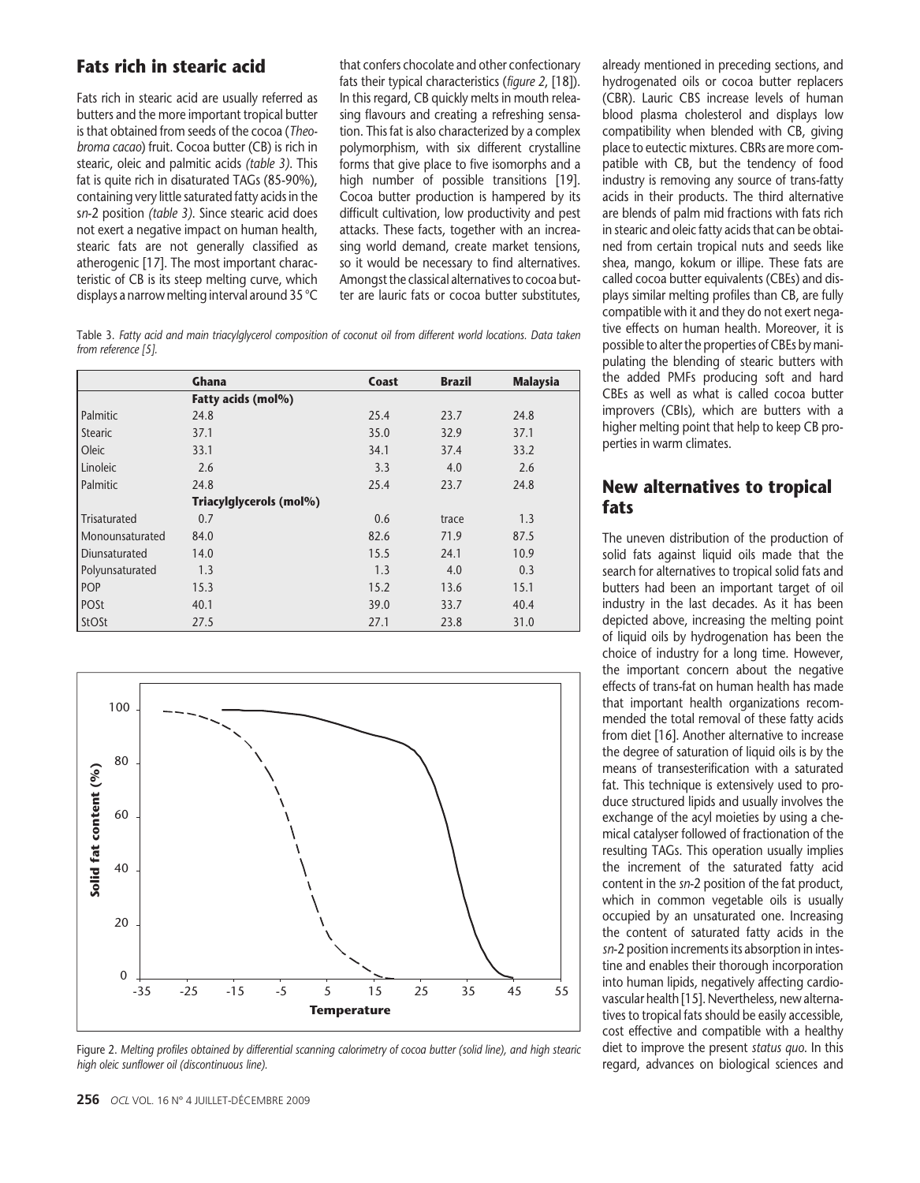## Fats rich in stearic acid

Fats rich in stearic acid are usually referred as butters and the more important tropical butter is that obtained from seeds of the cocoa (Theobroma cacao) fruit. Cocoa butter (CB) is rich in stearic, oleic and palmitic acids (table 3). This fat is quite rich in disaturated TAGs (85-90%), containing very little saturated fatty acids in the sn-2 position (table 3). Since stearic acid does not exert a negative impact on human health, stearic fats are not generally classified as atherogenic [17]. The most important characteristic of CB is its steep melting curve, which displays a narrow melting interval around 35 °C that confers chocolate and other confectionary fats their typical characteristics (figure 2, [18]). In this regard, CB quickly melts in mouth releasing flavours and creating a refreshing sensation. This fat is also characterized by a complex polymorphism, with six different crystalline forms that give place to five isomorphs and a high number of possible transitions [19]. Cocoa butter production is hampered by its difficult cultivation, low productivity and pest attacks. These facts, together with an increasing world demand, create market tensions, so it would be necessary to find alternatives. Amongst the classical alternatives to cocoa butter are lauric fats or cocoa butter substitutes,

Table 3. Fatty acid and main triacylglycerol composition of coconut oil from different world locations. Data taken from reference [5].

|                 | <b>Ghana</b>            | Coast | <b>Brazil</b> | <b>Malaysia</b> |
|-----------------|-------------------------|-------|---------------|-----------------|
|                 | Fatty acids (mol%)      |       |               |                 |
| Palmitic        | 24.8                    | 25.4  | 23.7          | 24.8            |
| <b>Stearic</b>  | 37.1                    | 35.0  | 32.9          | 37.1            |
| Oleic           | 33.1                    | 34.1  | 37.4          | 33.2            |
| Linoleic        | 2.6                     | 3.3   | 4.0           | 2.6             |
| Palmitic        | 24.8                    | 25.4  | 23.7          | 24.8            |
|                 | Triacylglycerols (mol%) |       |               |                 |
| Trisaturated    | 0.7                     | 0.6   | trace         | 1.3             |
| Monounsaturated | 84.0                    | 82.6  | 71.9          | 87.5            |
| Diunsaturated   | 14.0                    | 15.5  | 24.1          | 10.9            |
| Polyunsaturated | 1.3                     | 1.3   | 4.0           | 0.3             |
| <b>POP</b>      | 15.3                    | 15.2  | 13.6          | 15.1            |
| POSt            | 40.1                    | 39.0  | 33.7          | 40.4            |
| <b>StOSt</b>    | 27.5                    | 27.1  | 23.8          | 31.0            |



Figure 2. Melting profiles obtained by differential scanning calorimetry of cocoa butter (solid line), and high stearic high oleic sunflower oil (discontinuous line).

already mentioned in preceding sections, and hydrogenated oils or cocoa butter replacers (CBR). Lauric CBS increase levels of human blood plasma cholesterol and displays low compatibility when blended with CB, giving place to eutectic mixtures. CBRs are more compatible with CB, but the tendency of food industry is removing any source of trans-fatty acids in their products. The third alternative are blends of palm mid fractions with fats rich in stearic and oleic fatty acids that can be obtained from certain tropical nuts and seeds like shea, mango, kokum or illipe. These fats are called cocoa butter equivalents (CBEs) and displays similar melting profiles than CB, are fully compatible with it and they do not exert negative effects on human health. Moreover, it is possible to alter the properties of CBEs by manipulating the blending of stearic butters with the added PMFs producing soft and hard CBEs as well as what is called cocoa butter improvers (CBIs), which are butters with a higher melting point that help to keep CB properties in warm climates.

### New alternatives to tropical fats

The uneven distribution of the production of solid fats against liquid oils made that the search for alternatives to tropical solid fats and butters had been an important target of oil industry in the last decades. As it has been depicted above, increasing the melting point of liquid oils by hydrogenation has been the choice of industry for a long time. However, the important concern about the negative effects of trans-fat on human health has made that important health organizations recommended the total removal of these fatty acids from diet [16]. Another alternative to increase the degree of saturation of liquid oils is by the means of transesterification with a saturated fat. This technique is extensively used to produce structured lipids and usually involves the exchange of the acyl moieties by using a chemical catalyser followed of fractionation of the resulting TAGs. This operation usually implies the increment of the saturated fatty acid content in the sn-2 position of the fat product, which in common vegetable oils is usually occupied by an unsaturated one. Increasing the content of saturated fatty acids in the sn-2 position increments its absorption in intestine and enables their thorough incorporation into human lipids, negatively affecting cardiovascular health [15]. Nevertheless, new alternatives to tropical fats should be easily accessible, cost effective and compatible with a healthy diet to improve the present status quo. In this regard, advances on biological sciences and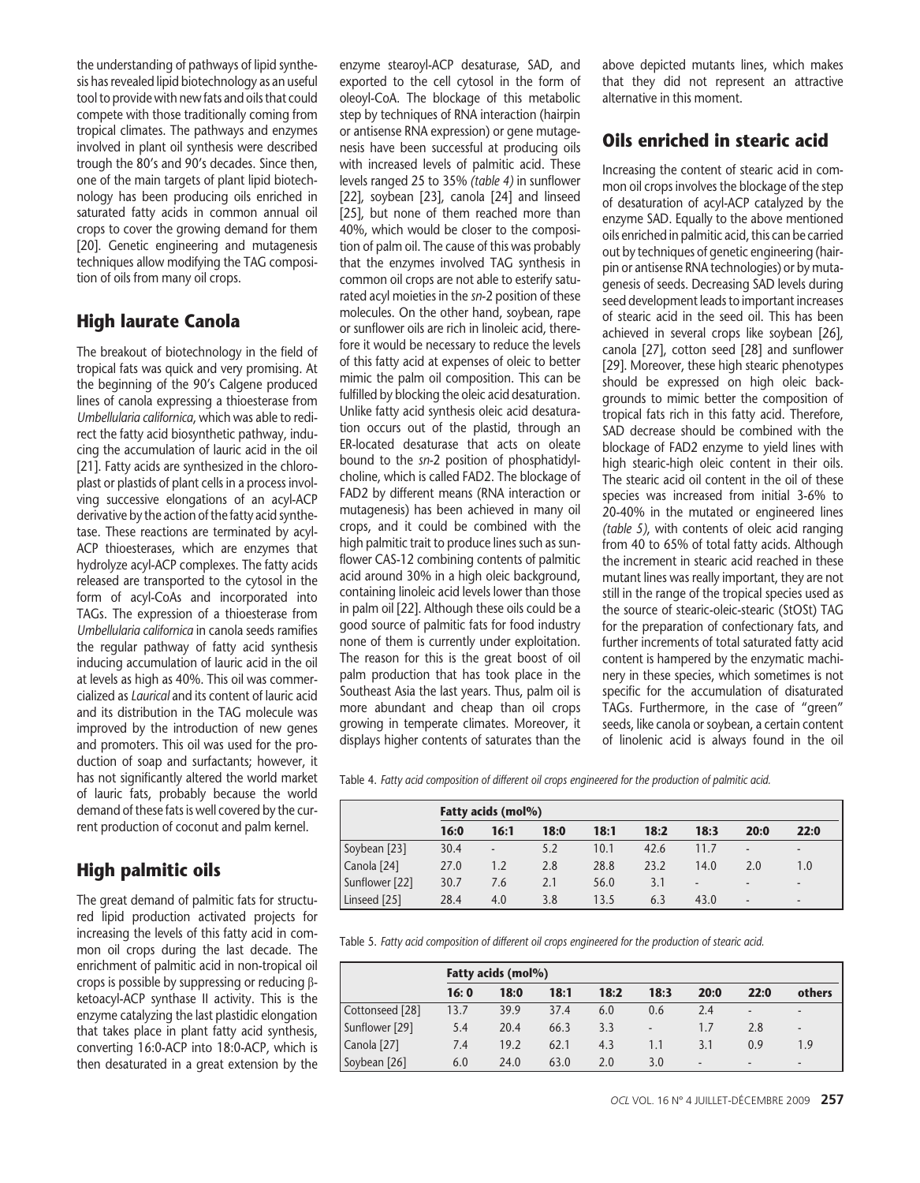the understanding of pathways of lipid synthesis has revealed lipid biotechnology as an useful tool to provide with new fats and oils that could compete with those traditionally coming from tropical climates. The pathways and enzymes involved in plant oil synthesis were described trough the 80's and 90's decades. Since then, one of the main targets of plant lipid biotechnology has been producing oils enriched in saturated fatty acids in common annual oil crops to cover the growing demand for them [20]. Genetic engineering and mutagenesis techniques allow modifying the TAG composition of oils from many oil crops.

## High laurate Canola

The breakout of biotechnology in the field of tropical fats was quick and very promising. At the beginning of the 90's Calgene produced lines of canola expressing a thioesterase from Umbellularia californica, which was able to redirect the fatty acid biosynthetic pathway, inducing the accumulation of lauric acid in the oil [21]. Fatty acids are synthesized in the chloroplast or plastids of plant cells in a process involving successive elongations of an acyl-ACP derivative by the action of the fatty acid synthetase. These reactions are terminated by acyl-ACP thioesterases, which are enzymes that hydrolyze acyl-ACP complexes. The fatty acids released are transported to the cytosol in the form of acyl-CoAs and incorporated into TAGs. The expression of a thioesterase from Umbellularia californica in canola seeds ramifies the regular pathway of fatty acid synthesis inducing accumulation of lauric acid in the oil at levels as high as 40%. This oil was commercialized as Laurical and its content of lauric acid and its distribution in the TAG molecule was improved by the introduction of new genes and promoters. This oil was used for the production of soap and surfactants; however, it has not significantly altered the world market of lauric fats, probably because the world demand of these fats is well covered by the current production of coconut and palm kernel.

## High palmitic oils

The great demand of palmitic fats for structured lipid production activated projects for increasing the levels of this fatty acid in common oil crops during the last decade. The enrichment of palmitic acid in non-tropical oil crops is possible by suppressing or reducing βketoacyl-ACP synthase II activity. This is the enzyme catalyzing the last plastidic elongation that takes place in plant fatty acid synthesis, converting 16:0-ACP into 18:0-ACP, which is then desaturated in a great extension by the enzyme stearoyl-ACP desaturase, SAD, and exported to the cell cytosol in the form of oleoyl-CoA. The blockage of this metabolic step by techniques of RNA interaction (hairpin or antisense RNA expression) or gene mutagenesis have been successful at producing oils with increased levels of palmitic acid. These levels ranged 25 to 35% (table 4) in sunflower [22], soybean [23], canola [24] and linseed [25], but none of them reached more than 40%, which would be closer to the composition of palm oil. The cause of this was probably that the enzymes involved TAG synthesis in common oil crops are not able to esterify saturated acyl moieties in the sn-2 position of these molecules. On the other hand, soybean, rape or sunflower oils are rich in linoleic acid, therefore it would be necessary to reduce the levels of this fatty acid at expenses of oleic to better mimic the palm oil composition. This can be fulfilled by blocking the oleic acid desaturation. Unlike fatty acid synthesis oleic acid desaturation occurs out of the plastid, through an ER-located desaturase that acts on oleate bound to the sn-2 position of phosphatidylcholine, which is called FAD2. The blockage of FAD2 by different means (RNA interaction or mutagenesis) has been achieved in many oil crops, and it could be combined with the high palmitic trait to produce lines such as sunflower CAS-12 combining contents of palmitic acid around 30% in a high oleic background, containing linoleic acid levels lower than those in palm oil [22]. Although these oils could be a good source of palmitic fats for food industry none of them is currently under exploitation. The reason for this is the great boost of oil palm production that has took place in the Southeast Asia the last years. Thus, palm oil is more abundant and cheap than oil crops growing in temperate climates. Moreover, it displays higher contents of saturates than the above depicted mutants lines, which makes that they did not represent an attractive alternative in this moment.

## Oils enriched in stearic acid

Increasing the content of stearic acid in common oil crops involves the blockage of the step of desaturation of acyl-ACP catalyzed by the enzyme SAD. Equally to the above mentioned oils enriched in palmitic acid, this can be carried out by techniques of genetic engineering (hairpin or antisense RNA technologies) or by mutagenesis of seeds. Decreasing SAD levels during seed development leads to important increases of stearic acid in the seed oil. This has been achieved in several crops like soybean [26], canola [27], cotton seed [28] and sunflower [29]. Moreover, these high stearic phenotypes should be expressed on high oleic backgrounds to mimic better the composition of tropical fats rich in this fatty acid. Therefore, SAD decrease should be combined with the blockage of FAD2 enzyme to yield lines with high stearic-high oleic content in their oils. The stearic acid oil content in the oil of these species was increased from initial 3-6% to 20-40% in the mutated or engineered lines (table 5), with contents of oleic acid ranging from 40 to 65% of total fatty acids. Although the increment in stearic acid reached in these mutant lines was really important, they are not still in the range of the tropical species used as the source of stearic-oleic-stearic (StOSt) TAG for the preparation of confectionary fats, and further increments of total saturated fatty acid content is hampered by the enzymatic machinery in these species, which sometimes is not specific for the accumulation of disaturated TAGs. Furthermore, in the case of "green" seeds, like canola or soybean, a certain content of linolenic acid is always found in the oil

Table 4. Fatty acid composition of different oil crops engineered for the production of palmitic acid.

|                | Fatty acids (mol%) |      |      |      |      |                          |                          |                          |  |
|----------------|--------------------|------|------|------|------|--------------------------|--------------------------|--------------------------|--|
|                | 16:0               | 16:1 | 18:0 | 18:1 | 18:2 | 18:3                     | 20:0                     | 22:0                     |  |
| Soybean [23]   | 30.4               | ٠    | 5.2  | 10.1 | 42.6 | 11.7                     | $\overline{\phantom{a}}$ | $\overline{\phantom{a}}$ |  |
| Canola [24]    | 27.0               | 1.2  | 2.8  | 28.8 | 23.2 | 14.0                     | 2.0                      | 1.0                      |  |
| Sunflower [22] | 30.7               | 7.6  | 2.1  | 56.0 | 3.1  | $\overline{\phantom{a}}$ | -                        | $\overline{\phantom{a}}$ |  |
| Linseed [25]   | 28.4               | 4.0  | 3.8  | 13.5 | 6.3  | 43.0                     | ٠                        |                          |  |

Table 5. Fatty acid composition of different oil crops engineered for the production of stearic acid.

|                 | Fatty acids (mol%) |      |      |      |                          |                          |                          |                          |  |
|-----------------|--------------------|------|------|------|--------------------------|--------------------------|--------------------------|--------------------------|--|
|                 | 16:0               | 18:0 | 18:1 | 18:2 | 18:3                     | 20:0                     | 22:0                     | others                   |  |
| Cottonseed [28] | 13.7               | 39.9 | 37.4 | 6.0  | 0.6                      | 2.4                      | ٠                        | $\overline{\phantom{a}}$ |  |
| Sunflower [29]  | 5.4                | 20.4 | 66.3 | 3.3  | $\overline{\phantom{a}}$ | 1.7                      | 2.8                      | $\overline{\phantom{a}}$ |  |
| Canola [27]     | 7.4                | 19.2 | 62.1 | 4.3  | 1.1                      | 3.1                      | 0.9                      | 1.9                      |  |
| Soybean [26]    | 6.0                | 24.0 | 63.0 | 2.0  | 3.0                      | $\overline{\phantom{a}}$ | $\overline{\phantom{a}}$ | $\overline{\phantom{a}}$ |  |